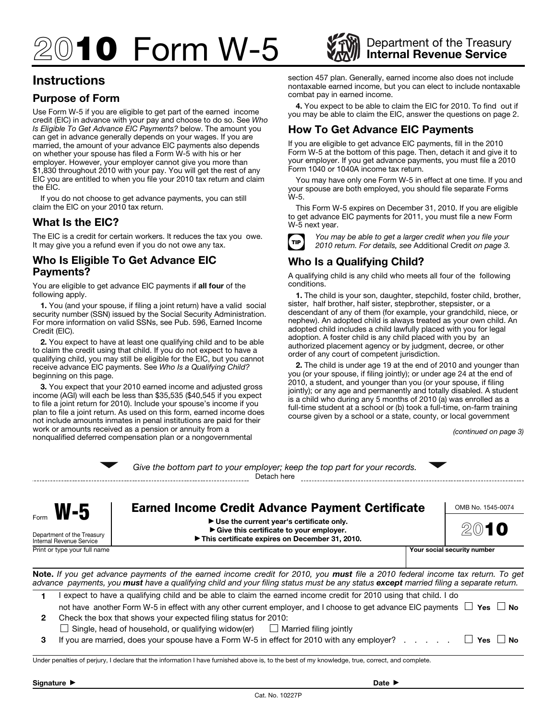# **210 Form W-5** WAN Department of the Treasury

# **Instructions**

# **Purpose of Form**

Use Form W-5 if you are eligible to get part of the earned income credit (EIC) in advance with your pay and choose to do so. See *Who Is Eligible To Get Advance EIC Payments?* below. The amount you can get in advance generally depends on your wages. If you are married, the amount of your advance EIC payments also depends on whether your spouse has filed a Form W-5 with his or her employer. However, your employer cannot give you more than \$1,830 throughout 2010 with your pay. You will get the rest of any EIC you are entitled to when you file your 2010 tax return and claim the EIC.

If you do not choose to get advance payments, you can still claim the EIC on your 2010 tax return.

# **What Is the EIC?**

The EIC is a credit for certain workers. It reduces the tax you owe. It may give you a refund even if you do not owe any tax.

## **Who Is Eligible To Get Advance EIC Payments?**

You are eligible to get advance EIC payments if **all four** of the following apply.

**1.** You (and your spouse, if filing a joint return) have a valid social security number (SSN) issued by the Social Security Administration. For more information on valid SSNs, see Pub. 596, Earned Income Credit (EIC).

**2.** You expect to have at least one qualifying child and to be able to claim the credit using that child. If you do not expect to have a qualifying child, you may still be eligible for the EIC, but you cannot receive advance EIC payments. See *Who Is a Qualifying Child?*  beginning on this page.

**3.** You expect that your 2010 earned income and adjusted gross income (AGI) will each be less than \$35,535 (\$40,545 if you expect to file a joint return for 2010). Include your spouse's income if you plan to file a joint return. As used on this form, earned income does not include amounts inmates in penal institutions are paid for their work or amounts received as a pension or annuity from a nonqualified deferred compensation plan or a nongovernmental

section 457 plan. Generally, earned income also does not include nontaxable earned income, but you can elect to include nontaxable combat pay in earned income.

**4.** You expect to be able to claim the EIC for 2010. To find out if you may be able to claim the EIC, answer the questions on page 2.

# **How To Get Advance EIC Payments**

If you are eligible to get advance EIC payments, fill in the 2010 Form W-5 at the bottom of this page. Then, detach it and give it to your employer. If you get advance payments, you must file a 2010 Form 1040 or 1040A income tax return.

You may have only one Form W-5 in effect at one time. If you and your spouse are both employed, you should file separate Forms W-5.

This Form W-5 expires on December 31, 2010. If you are eligible to get advance EIC payments for 2011, you must file a new Form W-5 next year.



**TIP** *You may be able to get a larger credit when you file your*<br>2010 return Far details ago Additional Credit on page 2. *2010 return. For details, see* Additional Credit *on page 3.* 

# **Who Is a Qualifying Child?**

A qualifying child is any child who meets all four of the following conditions.

**1.** The child is your son, daughter, stepchild, foster child, brother, sister, half brother, half sister, stepbrother, stepsister, or a descendant of any of them (for example, your grandchild, niece, or nephew). An adopted child is always treated as your own child. An adopted child includes a child lawfully placed with you for legal adoption. A foster child is any child placed with you by an authorized placement agency or by judgment, decree, or other order of any court of competent jurisdiction.

**2.** The child is under age 19 at the end of 2010 and younger than you (or your spouse, if filing jointly); or under age 24 at the end of 2010, a student, and younger than you (or your spouse, if filing jointly); or any age and permanently and totally disabled. A student is a child who during any 5 months of 2010 (a) was enrolled as a full-time student at a school or (b) took a full-time, on-farm training course given by a school or a state, county, or local government

*(continued on page 3)* 

|                                                                                                                                                                                                                                                                                                     |                                                                                                                                                                                                                                                         | Give the bottom part to your employer; keep the top part for your records.<br>Detach here                                                                                                          |  |                           |
|-----------------------------------------------------------------------------------------------------------------------------------------------------------------------------------------------------------------------------------------------------------------------------------------------------|---------------------------------------------------------------------------------------------------------------------------------------------------------------------------------------------------------------------------------------------------------|----------------------------------------------------------------------------------------------------------------------------------------------------------------------------------------------------|--|---------------------------|
|                                                                                                                                                                                                                                                                                                     | $M-5$<br>Department of the Treasury<br>Internal Revenue Service                                                                                                                                                                                         | <b>Earned Income Credit Advance Payment Certificate</b><br>► Use the current year's certificate only.<br>Give this certificate to your employer.<br>This certificate expires on December 31, 2010. |  | OMB No. 1545-0074<br>2010 |
| Print or type your full name<br>Your social security number                                                                                                                                                                                                                                         |                                                                                                                                                                                                                                                         |                                                                                                                                                                                                    |  |                           |
| <b>Note.</b> If you get advance payments of the earned income credit for 2010, you <b>must</b> file a 2010 federal income tax return. To get<br>advance payments, you <b>must</b> have a qualifying child and your filing status must be any status <b>except</b> married filing a separate return. |                                                                                                                                                                                                                                                         |                                                                                                                                                                                                    |  |                           |
| 1                                                                                                                                                                                                                                                                                                   | I expect to have a qualifying child and be able to claim the earned income credit for 2010 using that child. I do<br>not have another Form W-5 in effect with any other current employer, and I choose to get advance EIC payments $\Box$ Yes $\Box$ No |                                                                                                                                                                                                    |  |                           |
| $\mathbf{2}$                                                                                                                                                                                                                                                                                        | Check the box that shows your expected filing status for 2010:<br>Single, head of household, or qualifying widow(er) $\Box$ Married filing jointly                                                                                                      |                                                                                                                                                                                                    |  |                           |
| 3                                                                                                                                                                                                                                                                                                   |                                                                                                                                                                                                                                                         | If you are married, does your spouse have a Form W-5 in effect for 2010 with any employer?                                                                                                         |  | <b>Yes</b><br><b>No</b>   |
|                                                                                                                                                                                                                                                                                                     |                                                                                                                                                                                                                                                         | Under penalties of perjury, I declare that the information I have furnished above is, to the best of my knowledge, true, correct, and complete.                                                    |  |                           |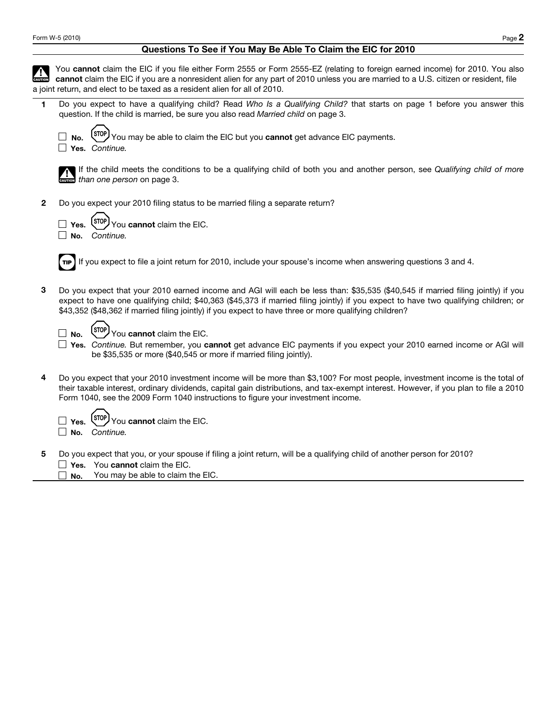## **Questions To See if You May Be Able To Claim the EIC for 2010**

|              | You cannot claim the EIC if you file either Form 2555 or Form 2555-EZ (relating to foreign earned income) for 2010. You also<br>cannot claim the EIC if you are a nonresident alien for any part of 2010 unless you are married to a U.S. citizen or resident, file<br>a joint return, and elect to be taxed as a resident alien for all of 2010.                                 |
|--------------|-----------------------------------------------------------------------------------------------------------------------------------------------------------------------------------------------------------------------------------------------------------------------------------------------------------------------------------------------------------------------------------|
| 1            | Do you expect to have a qualifying child? Read Who Is a Qualifying Child? that starts on page 1 before you answer this<br>question. If the child is married, be sure you also read Married child on page 3.                                                                                                                                                                       |
|              | You may be able to claim the EIC but you cannot get advance EIC payments.<br>No.<br>Yes. Continue.                                                                                                                                                                                                                                                                                |
|              | If the child meets the conditions to be a qualifying child of both you and another person, see Qualifying child of more<br>than one person on page 3.                                                                                                                                                                                                                             |
| $\mathbf{2}$ | Do you expect your 2010 filing status to be married filing a separate return?                                                                                                                                                                                                                                                                                                     |
|              | You cannot claim the EIC.<br>Yes.<br>$\Box$ No.<br>Continue.                                                                                                                                                                                                                                                                                                                      |
|              | If you expect to file a joint return for 2010, include your spouse's income when answering questions 3 and 4.                                                                                                                                                                                                                                                                     |
| 3            | Do you expect that your 2010 earned income and AGI will each be less than: \$35,535 (\$40,545 if married filing jointly) if you<br>expect to have one qualifying child; \$40,363 (\$45,373 if married filing jointly) if you expect to have two qualifying children; or<br>\$43,352 (\$48,362 if married filing jointly) if you expect to have three or more qualifying children? |
|              | You cannot claim the EIC.<br>No.                                                                                                                                                                                                                                                                                                                                                  |
|              | Yes. Continue. But remember, you cannot get advance EIC payments if you expect your 2010 earned income or AGI will<br>be \$35,535 or more (\$40,545 or more if married filing jointly).                                                                                                                                                                                           |
| 4            | Do you expect that your 2010 investment income will be more than \$3,100? For most people, investment income is the total of<br>their taxable interest, ordinary dividends, capital gain distributions, and tax-exempt interest. However, if you plan to file a 2010<br>Form 1040, see the 2009 Form 1040 instructions to figure your investment income.                          |
|              | You cannot claim the EIC.<br>Yes.<br>Continue.<br>No.                                                                                                                                                                                                                                                                                                                             |
| 5            | Do you expect that you, or your spouse if filing a joint return, will be a qualifying child of another person for 2010?<br>Yes. You cannot claim the EIC.<br>You may be able to claim the EIC.<br>No.                                                                                                                                                                             |